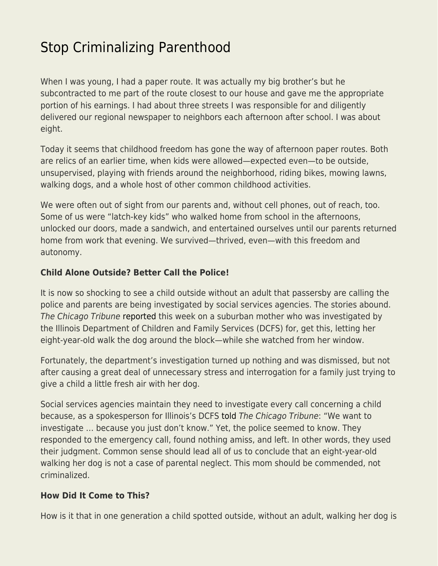## [Stop Criminalizing Parenthood](https://everything-voluntary.com/stop-criminalizing-parenthood)

When I was young, I had a paper route. It was actually my big brother's but he subcontracted to me part of the route closest to our house and gave me the appropriate portion of his earnings. I had about three streets I was responsible for and diligently delivered our regional newspaper to neighbors each afternoon after school. I was about eight.

Today it seems that childhood freedom has gone the way of afternoon paper routes. Both are relics of an earlier time, when kids were allowed—expected even—to be outside, unsupervised, playing with friends around the neighborhood, riding bikes, mowing lawns, walking dogs, and a whole host of other common childhood activities.

We were often out of sight from our parents and, without cell phones, out of reach, too. Some of us were "latch-key kids" who walked home from school in the afternoons, unlocked our doors, made a sandwich, and entertained ourselves until our parents returned home from work that evening. We survived—thrived, even—with this freedom and autonomy.

## **Child Alone Outside? Better Call the Police!**

It is now so shocking to see a child outside without an adult that passersby are calling the police and parents are being investigated by social services agencies. The stories abound. The Chicago Tribune [reported](http://www.chicagotribune.com/lifestyles/ct-life-leaving-kids-alone-moms-shamed-20180820-story.html) this week on a suburban mother who was investigated by the Illinois Department of Children and Family Services (DCFS) for, get this, letting her eight-year-old walk the dog around the block—while she watched from her window.

Fortunately, the department's investigation turned up nothing and was dismissed, but not after causing a great deal of unnecessary stress and interrogation for a family just trying to give a child a little fresh air with her dog.

Social services agencies maintain they need to investigate every call concerning a child because, as a spokesperson for Illinois's DCFS [told](http://www.chicagotribune.com/lifestyles/ct-life-leaving-kids-alone-moms-shamed-20180820-story.html) The Chicago Tribune: "We want to investigate … because you just don't know." Yet, the police seemed to know. They responded to the emergency call, found nothing amiss, and left. In other words, they used their judgment. Common sense should lead all of us to conclude that an eight-year-old walking her dog is not a case of parental neglect. This mom should be commended, not criminalized.

## **How Did It Come to This?**

How is it that in one generation a child spotted outside, without an adult, walking her dog is